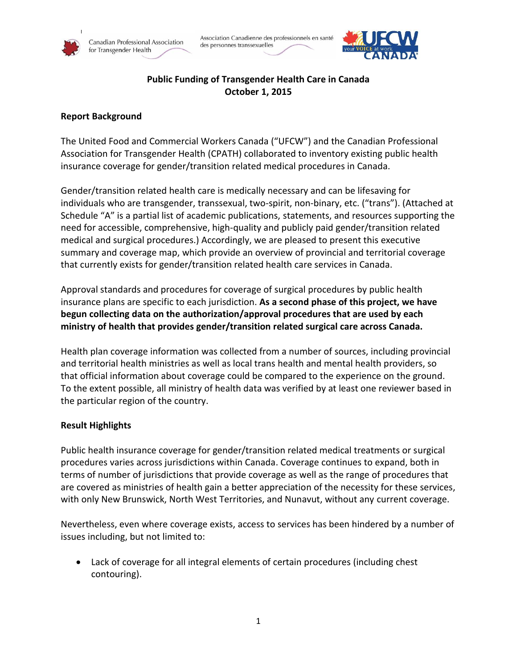



# **Public Funding of Transgender Health Care in Canada October 1, 2015**

### **Report Background**

The United Food and Commercial Workers Canada ("UFCW") and the Canadian Professional Association for Transgender Health (CPATH) collaborated to inventory existing public health insurance coverage for gender/transition related medical procedures in Canada.

Gender/transition related health care is medically necessary and can be lifesaving for individuals who are transgender, transsexual, two-spirit, non-binary, etc. ("trans"). (Attached at Schedule "A" is a partial list of academic publications, statements, and resources supporting the need for accessible, comprehensive, high-quality and publicly paid gender/transition related medical and surgical procedures.) Accordingly, we are pleased to present this executive summary and coverage map, which provide an overview of provincial and territorial coverage that currently exists for gender/transition related health care services in Canada.

Approval standards and procedures for coverage of surgical procedures by public health insurance plans are specific to each jurisdiction. **As a second phase of this project, we have begun collecting data on the authorization/approval procedures that are used by each ministry of health that provides gender/transition related surgical care across Canada.**

Health plan coverage information was collected from a number of sources, including provincial and territorial health ministries as well as local trans health and mental health providers, so that official information about coverage could be compared to the experience on the ground. To the extent possible, all ministry of health data was verified by at least one reviewer based in the particular region of the country.

#### **Result Highlights**

Public health insurance coverage for gender/transition related medical treatments or surgical procedures varies across jurisdictions within Canada. Coverage continues to expand, both in terms of number of jurisdictions that provide coverage as well as the range of procedures that are covered as ministries of health gain a better appreciation of the necessity for these services, with only New Brunswick, North West Territories, and Nunavut, without any current coverage.

Nevertheless, even where coverage exists, access to services has been hindered by a number of issues including, but not limited to:

 Lack of coverage for all integral elements of certain procedures (including chest contouring).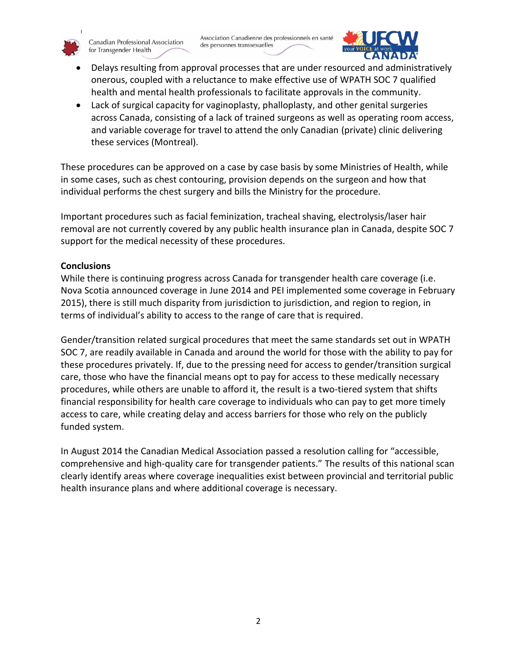

Canadian Professional Association for Transgender Health



- Delays resulting from approval processes that are under resourced and administratively onerous, coupled with a reluctance to make effective use of WPATH SOC 7 qualified health and mental health professionals to facilitate approvals in the community.
- Lack of surgical capacity for vaginoplasty, phalloplasty, and other genital surgeries across Canada, consisting of a lack of trained surgeons as well as operating room access, and variable coverage for travel to attend the only Canadian (private) clinic delivering these services (Montreal).

These procedures can be approved on a case by case basis by some Ministries of Health, while in some cases, such as chest contouring, provision depends on the surgeon and how that individual performs the chest surgery and bills the Ministry for the procedure.

Important procedures such as facial feminization, tracheal shaving, electrolysis/laser hair removal are not currently covered by any public health insurance plan in Canada, despite SOC 7 support for the medical necessity of these procedures.

## **Conclusions**

While there is continuing progress across Canada for transgender health care coverage (i.e. Nova Scotia announced coverage in June 2014 and PEI implemented some coverage in February 2015), there is still much disparity from jurisdiction to jurisdiction, and region to region, in terms of individual's ability to access to the range of care that is required.

Gender/transition related surgical procedures that meet the same standards set out in WPATH SOC 7, are readily available in Canada and around the world for those with the ability to pay for these procedures privately. If, due to the pressing need for access to gender/transition surgical care, those who have the financial means opt to pay for access to these medically necessary procedures, while others are unable to afford it, the result is a two-tiered system that shifts financial responsibility for health care coverage to individuals who can pay to get more timely access to care, while creating delay and access barriers for those who rely on the publicly funded system.

In August 2014 the Canadian Medical Association passed a resolution calling for "accessible, comprehensive and high-quality care for transgender patients." The results of this national scan clearly identify areas where coverage inequalities exist between provincial and territorial public health insurance plans and where additional coverage is necessary.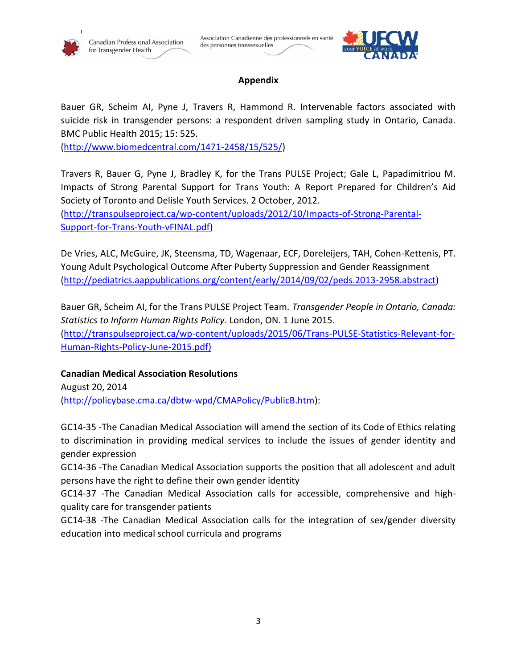



## **Appendix**

Bauer GR, Scheim AI, Pyne J, Travers R, Hammond R. Intervenable factors associated with suicide risk in transgender persons: a respondent driven sampling study in Ontario, Canada. BMC Public Health 2015; 15: 525.

[\(http://www.biomedcentral.com/1471-2458/15/525/\)](http://www.biomedcentral.com/1471-2458/15/525/)

Travers R, Bauer G, Pyne J, Bradley K, for the Trans PULSE Project; Gale L, Papadimitriou M. Impacts of Strong Parental Support for Trans Youth: A Report Prepared for Children's Aid Society of Toronto and Delisle Youth Services. 2 October, 2012.

[\(http://transpulseproject.ca/wp-content/uploads/2012/10/Impacts-of-Strong-Parental-](http://transpulseproject.ca/wp-content/uploads/2012/10/Impacts-of-Strong-Parental-Support-for-Trans-Youth-vFINAL.pdf)[Support-for-Trans-Youth-vFINAL.pdf\)](http://transpulseproject.ca/wp-content/uploads/2012/10/Impacts-of-Strong-Parental-Support-for-Trans-Youth-vFINAL.pdf)

De Vries, ALC, McGuire, JK, Steensma, TD, Wagenaar, ECF, Doreleijers, TAH, Cohen-Kettenis, PT. Young Adult Psychological Outcome After Puberty Suppression and Gender Reassignment [\(http://pediatrics.aappublications.org/content/early/2014/09/02/peds.2013-2958.abstract\)](http://pediatrics.aappublications.org/content/early/2014/09/02/peds.2013-2958.abstract)

Bauer GR, Scheim AI, for the Trans PULSE Project Team. *Transgender People in Ontario, Canada: Statistics to Inform Human Rights Policy*. London, ON. 1 June 2015. [\(http://transpulseproject.ca/wp-content/uploads/2015/06/Trans-PULSE-Statistics-Relevant-for-](http://transpulseproject.ca/wp-content/uploads/2015/06/Trans-PULSE-Statistics-Relevant-for-Human-Rights-Policy-June-2015.pdf)[Human-Rights-Policy-June-2015.pdf\)](http://transpulseproject.ca/wp-content/uploads/2015/06/Trans-PULSE-Statistics-Relevant-for-Human-Rights-Policy-June-2015.pdf)

# **Canadian Medical Association Resolutions**

August 20, 2014 [\(http://policybase.cma.ca/dbtw-wpd/CMAPolicy/PublicB.htm\)](http://policybase.cma.ca/dbtw-wpd/CMAPolicy/PublicB.htm):

GC14-35 -The Canadian Medical Association will amend the section of its Code of Ethics relating to discrimination in providing medical services to include the issues of gender identity and gender expression

GC14-36 -The Canadian Medical Association supports the position that all adolescent and adult persons have the right to define their own gender identity

GC14-37 -The Canadian Medical Association calls for accessible, comprehensive and highquality care for transgender patients

GC14-38 -The Canadian Medical Association calls for the integration of sex/gender diversity education into medical school curricula and programs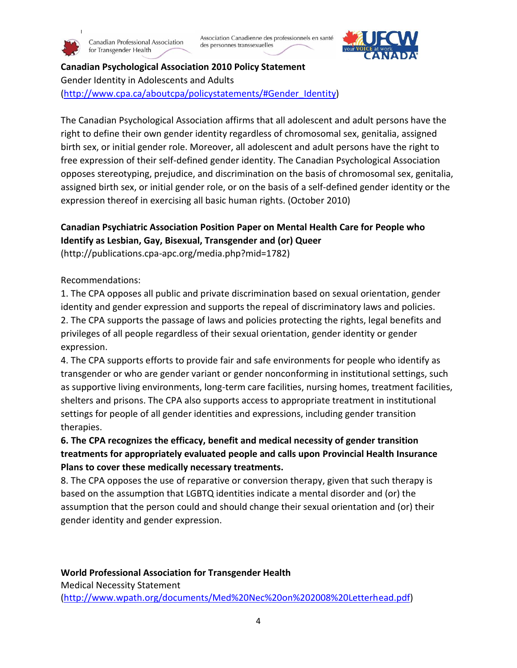Canadian Professional Association for Transgender Health



**Canadian Psychological Association 2010 Policy Statement** Gender Identity in Adolescents and Adults [\(http://www.cpa.ca/aboutcpa/policystatements/#Gender\\_Identity\)](http://www.cpa.ca/aboutcpa/policystatements/#Gender_Identity)

The Canadian Psychological Association affirms that all adolescent and adult persons have the right to define their own gender identity regardless of chromosomal sex, genitalia, assigned birth sex, or initial gender role. Moreover, all adolescent and adult persons have the right to free expression of their self-defined gender identity. The Canadian Psychological Association opposes stereotyping, prejudice, and discrimination on the basis of chromosomal sex, genitalia, assigned birth sex, or initial gender role, or on the basis of a self-defined gender identity or the expression thereof in exercising all basic human rights. (October 2010)

# **Canadian Psychiatric Association Position Paper on Mental Health Care for People who Identify as Lesbian, Gay, Bisexual, Transgender and (or) Queer**

(http://publications.cpa-apc.org/media.php?mid=1782)

Recommendations:

1. The CPA opposes all public and private discrimination based on sexual orientation, gender identity and gender expression and supports the repeal of discriminatory laws and policies. 2. The CPA supports the passage of laws and policies protecting the rights, legal benefits and privileges of all people regardless of their sexual orientation, gender identity or gender expression.

4. The CPA supports efforts to provide fair and safe environments for people who identify as transgender or who are gender variant or gender nonconforming in institutional settings, such as supportive living environments, long-term care facilities, nursing homes, treatment facilities, shelters and prisons. The CPA also supports access to appropriate treatment in institutional settings for people of all gender identities and expressions, including gender transition therapies.

# **6. The CPA recognizes the efficacy, benefit and medical necessity of gender transition treatments for appropriately evaluated people and calls upon Provincial Health Insurance Plans to cover these medically necessary treatments.**

8. The CPA opposes the use of reparative or conversion therapy, given that such therapy is based on the assumption that LGBTQ identities indicate a mental disorder and (or) the assumption that the person could and should change their sexual orientation and (or) their gender identity and gender expression.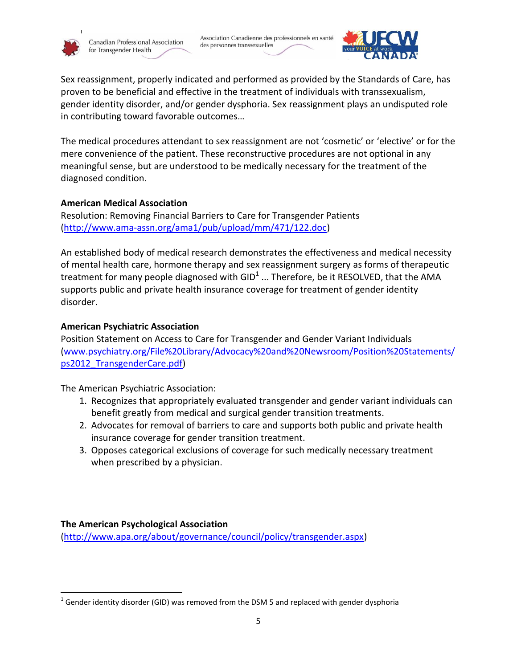

Association Canadienne des professionnels en santé des personnes transsexuelles



Sex reassignment, properly indicated and performed as provided by the Standards of Care, has proven to be beneficial and effective in the treatment of individuals with transsexualism, gender identity disorder, and/or gender dysphoria. Sex reassignment plays an undisputed role in contributing toward favorable outcomes…

The medical procedures attendant to sex reassignment are not 'cosmetic' or 'elective' or for the mere convenience of the patient. These reconstructive procedures are not optional in any meaningful sense, but are understood to be medically necessary for the treatment of the diagnosed condition.

### **American Medical Association**

Resolution: Removing Financial Barriers to Care for Transgender Patients [\(http://www.ama-assn.org/ama1/pub/upload/mm/471/122.doc\)](http://www.ama-assn.org/ama1/pub/upload/mm/471/122.doc)

An established body of medical research demonstrates the effectiveness and medical necessity of mental health care, hormone therapy and sex reassignment surgery as forms of therapeutic treatment for many people diagnosed with GID<sup>1</sup> ... Therefore, be it RESOLVED, that the AMA supports public and private health insurance coverage for treatment of gender identity disorder.

## **American Psychiatric Association**

Position Statement on Access to Care for Transgender and Gender Variant Individuals [\(www.psychiatry.org/File%20Library/Advocacy%20and%20Newsroom/Position%20Statements/](http://www.psychiatry.org/File%20Library/Advocacy%20and%20Newsroom/Position%20Statements/ps2012_TransgenderCare.pdf) [ps2012\\_TransgenderCare.pdf\)](http://www.psychiatry.org/File%20Library/Advocacy%20and%20Newsroom/Position%20Statements/ps2012_TransgenderCare.pdf)

The American Psychiatric Association:

- 1. Recognizes that appropriately evaluated transgender and gender variant individuals can benefit greatly from medical and surgical gender transition treatments.
- 2. Advocates for removal of barriers to care and supports both public and private health insurance coverage for gender transition treatment.
- 3. Opposes categorical exclusions of coverage for such medically necessary treatment when prescribed by a physician.

**The American Psychological Association**

 $\overline{\phantom{a}}$ 

[\(http://www.apa.org/about/governance/council/policy/transgender.aspx\)](http://www.apa.org/about/governance/council/policy/transgender.aspx)

 $^{1}$  Gender identity disorder (GID) was removed from the DSM 5 and replaced with gender dysphoria